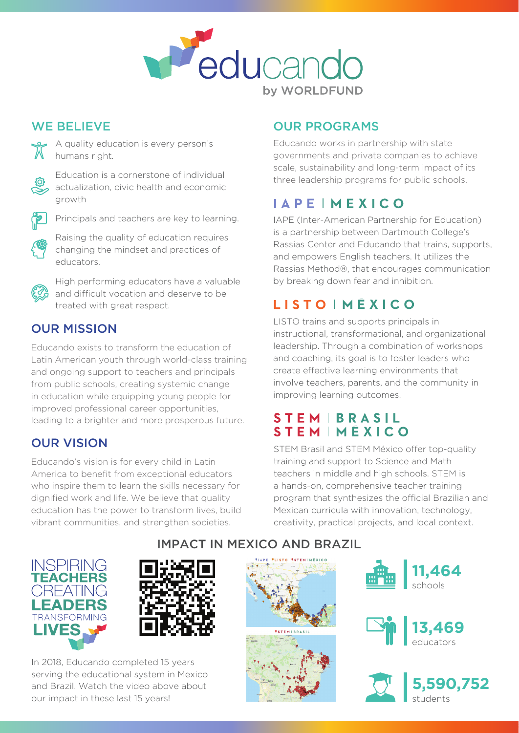

#### WE BELIEVE



A quality education is every person's humans right.



Education is a cornerstone of individual actualization, civic health and economic growth



Principals and teachers are key to learning.



Raising the quality of education requires changing the mindset and practices of educators.



High performing educators have a valuable and difficult vocation and deserve to be treated with great respect.

#### OUR MISSION

Educando exists to transform the education of Latin American youth through world-class training and ongoing support to teachers and principals from public schools, creating systemic change in education while equipping young people for improved professional career opportunities, leading to a brighter and more prosperous future.

## OUR VISION

Educando's vision is for every child in Latin America to benefit from exceptional educators who inspire them to learn the skills necessary for dignified work and life. We believe that quality education has the power to transform lives, build vibrant communities, and strengthen societies.

## OUR PROGRAMS

Educando works in partnership with state governments and private companies to achieve scale, sustainability and long-term impact of its three leadership programs for public schools.

# **IAPEIMEXICO**

IAPE (Inter-American Partnership for Education) is a partnership between Dartmouth College's Rassias Center and Educando that trains, supports, and empowers English teachers. It utilizes the Rassias Method®, that encourages communication by breaking down fear and inhibition.

## **LISTO IMÉXICO**

LISTO trains and supports principals in instructional, transformational, and organizational leadership. Through a combination of workshops and coaching, its goal is to foster leaders who create effective learning environments that involve teachers, parents, and the community in improving learning outcomes.

### **STEMIBRASIL STEMIMÉXICO**

STEM Brasil and STEM México offer top-quality training and support to Science and Math teachers in middle and high schools. STEM is a hands-on, comprehensive teacher training program that synthesizes the official Brazilian and Mexican curricula with innovation, technology, creativity, practical projects, and local context.





In 2018, Educando completed 15 years serving the educational system in Mexico and Brazil. Watch the video above about our impact in these last 15 years!

#### IMPACT IN MEXICO AND BRAZIL